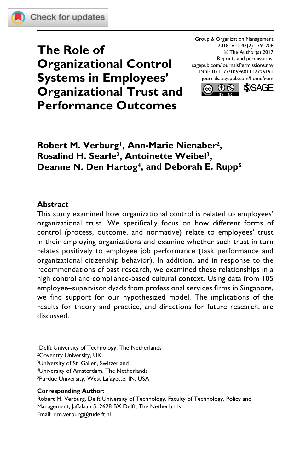**The Role of Organizational Control Systems in Employees' Organizational Trust and Performance Outcomes**

https://doi.org/10.1177/1059601117725191 DOI: 10.1177/1059601117725191 Group & Organization Management 2018, Vol. 43(2) 179–206 © The Author(s) 2017 Reprints and permissions: [sagepub.com/journalsPermissions.nav](https://us.sagepub.com/en-us/journals-permissions) [journals.sagepub.com/home/gom](https://journals.sagepub.com/home/gom)



# Robert M. Verburg<sup>1</sup>, Ann-Marie Nienaber<sup>2</sup>, **Rosalind H. Searle2, Antoinette Weibel3, Deanne N. Den Hartog4, and Deborah E. Rupp5**

## **Abstract**

This study examined how organizational control is related to employees' organizational trust. We specifically focus on how different forms of control (process, outcome, and normative) relate to employees' trust in their employing organizations and examine whether such trust in turn relates positively to employee job performance (task performance and organizational citizenship behavior). In addition, and in response to the recommendations of past research, we examined these relationships in a high control and compliance-based cultural context. Using data from 105 employee–supervisor dyads from professional services firms in Singapore, we find support for our hypothesized model. The implications of the results for theory and practice, and directions for future research, are discussed.

2Coventry University, UK

<sup>3</sup>University of St. Gallen, Switzerland

4University of Amsterdam, The Netherlands

5Purdue University, West Lafayette, IN, USA

#### **Corresponding Author:**

Robert M. Verburg, Delft University of Technology, Faculty of Technology, Policy and Management, Jaffalaan 5, 2628 BX Delft, The Netherlands. Email: [r.m.verburg@tudelft.nl](mailto:r.m.verburg@tudelft.nl)

<sup>1</sup>Delft University of Technology, The Netherlands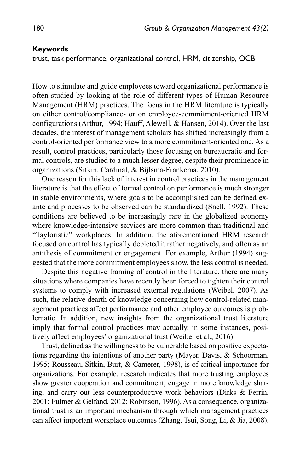#### **Keywords**

trust, task performance, organizational control, HRM, citizenship, OCB

How to stimulate and guide employees toward organizational performance is often studied by looking at the role of different types of Human Resource Management (HRM) practices. The focus in the HRM literature is typically on either control/compliance- or on employee-commitment-oriented HRM configurations (Arthur, 1994; Hauff, Alewell, & Hansen, 2014). Over the last decades, the interest of management scholars has shifted increasingly from a control-oriented performance view to a more commitment-oriented one. As a result, control practices, particularly those focusing on bureaucratic and formal controls, are studied to a much lesser degree, despite their prominence in organizations (Sitkin, Cardinal, & Bijlsma-Frankema, 2010).

One reason for this lack of interest in control practices in the management literature is that the effect of formal control on performance is much stronger in stable environments, where goals to be accomplished can be defined exante and processes to be observed can be standardized (Snell, 1992). These conditions are believed to be increasingly rare in the globalized economy where knowledge-intensive services are more common than traditional and "Tayloristic" workplaces. In addition, the aforementioned HRM research focused on control has typically depicted it rather negatively, and often as an antithesis of commitment or engagement. For example, Arthur (1994) suggested that the more commitment employees show, the less control is needed.

Despite this negative framing of control in the literature, there are many situations where companies have recently been forced to tighten their control systems to comply with increased external regulations (Weibel, 2007). As such, the relative dearth of knowledge concerning how control-related management practices affect performance and other employee outcomes is problematic. In addition, new insights from the organizational trust literature imply that formal control practices may actually, in some instances, positively affect employees' organizational trust (Weibel et al., 2016).

Trust, defined as the willingness to be vulnerable based on positive expectations regarding the intentions of another party (Mayer, Davis, & Schoorman, 1995; Rousseau, Sitkin, Burt, & Camerer, 1998), is of critical importance for organizations. For example, research indicates that more trusting employees show greater cooperation and commitment, engage in more knowledge sharing, and carry out less counterproductive work behaviors (Dirks & Ferrin, 2001; Fulmer & Gelfand, 2012; Robinson, 1996). As a consequence, organizational trust is an important mechanism through which management practices can affect important workplace outcomes (Zhang, Tsui, Song, Li, & Jia, 2008).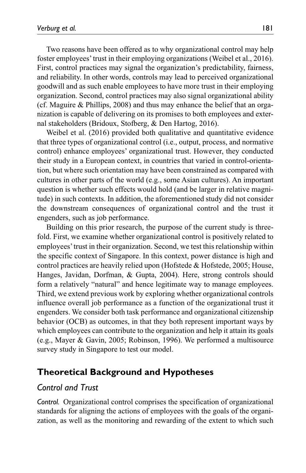Two reasons have been offered as to why organizational control may help foster employees' trust in their employing organizations (Weibel et al., 2016). First, control practices may signal the organization's predictability, fairness, and reliability. In other words, controls may lead to perceived organizational goodwill and as such enable employees to have more trust in their employing organization. Second, control practices may also signal organizational ability (cf. Maguire & Phillips, 2008) and thus may enhance the belief that an organization is capable of delivering on its promises to both employees and external stakeholders (Bridoux, Stofberg, & Den Hartog, 2016).

Weibel et al. (2016) provided both qualitative and quantitative evidence that three types of organizational control (i.e., output, process, and normative control) enhance employees' organizational trust. However, they conducted their study in a European context, in countries that varied in control-orientation, but where such orientation may have been constrained as compared with cultures in other parts of the world (e.g., some Asian cultures). An important question is whether such effects would hold (and be larger in relative magnitude) in such contexts. In addition, the aforementioned study did not consider the downstream consequences of organizational control and the trust it engenders, such as job performance.

Building on this prior research, the purpose of the current study is threefold. First, we examine whether organizational control is positively related to employees' trust in their organization. Second, we test this relationship within the specific context of Singapore. In this context, power distance is high and control practices are heavily relied upon (Hofstede & Hofstede, 2005; House, Hanges, Javidan, Dorfman, & Gupta, 2004). Here, strong controls should form a relatively "natural" and hence legitimate way to manage employees. Third, we extend previous work by exploring whether organizational controls influence overall job performance as a function of the organizational trust it engenders. We consider both task performance and organizational citizenship behavior (OCB) as outcomes, in that they both represent important ways by which employees can contribute to the organization and help it attain its goals (e.g., Mayer & Gavin, 2005; Robinson, 1996). We performed a multisource survey study in Singapore to test our model.

## **Theoretical Background and Hypotheses**

## *Control and Trust*

*Control.* Organizational control comprises the specification of organizational standards for aligning the actions of employees with the goals of the organization, as well as the monitoring and rewarding of the extent to which such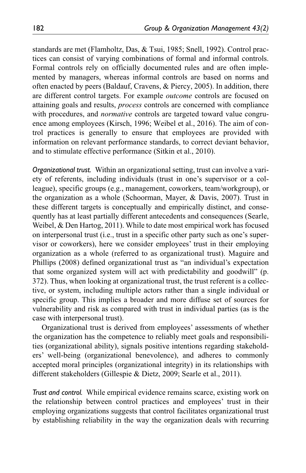standards are met (Flamholtz, Das, & Tsui, 1985; Snell, 1992). Control practices can consist of varying combinations of formal and informal controls. Formal controls rely on officially documented rules and are often implemented by managers, whereas informal controls are based on norms and often enacted by peers (Baldauf, Cravens, & Piercy, 2005). In addition, there are different control targets. For example *outcome* controls are focused on attaining goals and results, *process* controls are concerned with compliance with procedures, and *normative* controls are targeted toward value congruence among employees (Kirsch, 1996; Weibel et al., 2016). The aim of control practices is generally to ensure that employees are provided with information on relevant performance standards, to correct deviant behavior, and to stimulate effective performance (Sitkin et al., 2010).

*Organizational trust.* Within an organizational setting, trust can involve a variety of referents, including individuals (trust in one's supervisor or a colleague), specific groups (e.g., management, coworkers, team/workgroup), or the organization as a whole (Schoorman, Mayer, & Davis, 2007). Trust in these different targets is conceptually and empirically distinct, and consequently has at least partially different antecedents and consequences (Searle, Weibel, & Den Hartog, 2011). While to date most empirical work has focused on interpersonal trust (i.e., trust in a specific other party such as one's supervisor or coworkers), here we consider employees' trust in their employing organization as a whole (referred to as organizational trust). Maguire and Phillips (2008) defined organizational trust as "an individual's expectation that some organized system will act with predictability and goodwill" (p. 372). Thus, when looking at organizational trust, the trust referent is a collective, or system, including multiple actors rather than a single individual or specific group. This implies a broader and more diffuse set of sources for vulnerability and risk as compared with trust in individual parties (as is the case with interpersonal trust).

Organizational trust is derived from employees' assessments of whether the organization has the competence to reliably meet goals and responsibilities (organizational ability), signals positive intentions regarding stakeholders' well-being (organizational benevolence), and adheres to commonly accepted moral principles (organizational integrity) in its relationships with different stakeholders (Gillespie & Dietz, 2009; Searle et al., 2011).

*Trust and control.* While empirical evidence remains scarce, existing work on the relationship between control practices and employees' trust in their employing organizations suggests that control facilitates organizational trust by establishing reliability in the way the organization deals with recurring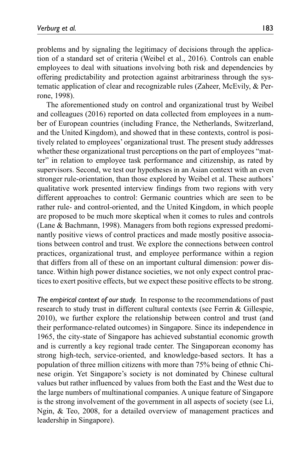problems and by signaling the legitimacy of decisions through the application of a standard set of criteria (Weibel et al., 2016). Controls can enable employees to deal with situations involving both risk and dependencies by offering predictability and protection against arbitrariness through the systematic application of clear and recognizable rules (Zaheer, McEvily, & Perrone, 1998).

The aforementioned study on control and organizational trust by Weibel and colleagues (2016) reported on data collected from employees in a number of European countries (including France, the Netherlands, Switzerland, and the United Kingdom), and showed that in these contexts, control is positively related to employees' organizational trust. The present study addresses whether these organizational trust perceptions on the part of employees "matter" in relation to employee task performance and citizenship, as rated by supervisors. Second, we test our hypotheses in an Asian context with an even stronger rule-orientation, than those explored by Weibel et al. These authors' qualitative work presented interview findings from two regions with very different approaches to control: Germanic countries which are seen to be rather rule- and control-oriented, and the United Kingdom, in which people are proposed to be much more skeptical when it comes to rules and controls (Lane & Bachmann, 1998). Managers from both regions expressed predominantly positive views of control practices and made mostly positive associations between control and trust. We explore the connections between control practices, organizational trust, and employee performance within a region that differs from all of these on an important cultural dimension: power distance. Within high power distance societies, we not only expect control practices to exert positive effects, but we expect these positive effects to be strong.

*The empirical context of our study.* In response to the recommendations of past research to study trust in different cultural contexts (see Ferrin & Gillespie, 2010), we further explore the relationship between control and trust (and their performance-related outcomes) in Singapore. Since its independence in 1965, the city-state of Singapore has achieved substantial economic growth and is currently a key regional trade center. The Singaporean economy has strong high-tech, service-oriented, and knowledge-based sectors. It has a population of three million citizens with more than 75% being of ethnic Chinese origin. Yet Singapore's society is not dominated by Chinese cultural values but rather influenced by values from both the East and the West due to the large numbers of multinational companies. A unique feature of Singapore is the strong involvement of the government in all aspects of society (see Li, Ngin, & Teo, 2008, for a detailed overview of management practices and leadership in Singapore).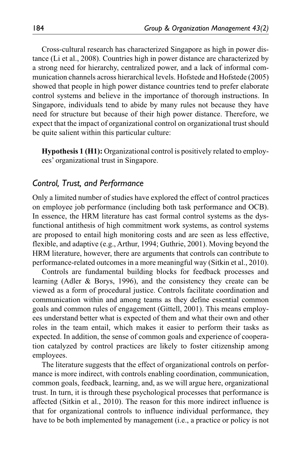Cross-cultural research has characterized Singapore as high in power distance (Li et al., 2008). Countries high in power distance are characterized by a strong need for hierarchy, centralized power, and a lack of informal communication channels across hierarchical levels. Hofstede and Hofstede (2005) showed that people in high power distance countries tend to prefer elaborate control systems and believe in the importance of thorough instructions. In Singapore, individuals tend to abide by many rules not because they have need for structure but because of their high power distance. Therefore, we expect that the impact of organizational control on organizational trust should be quite salient within this particular culture:

**Hypothesis 1 (H1):** Organizational control is positively related to employees' organizational trust in Singapore.

## *Control, Trust, and Performance*

Only a limited number of studies have explored the effect of control practices on employee job performance (including both task performance and OCB). In essence, the HRM literature has cast formal control systems as the dysfunctional antithesis of high commitment work systems, as control systems are proposed to entail high monitoring costs and are seen as less effective, flexible, and adaptive (e.g., Arthur, 1994; Guthrie, 2001). Moving beyond the HRM literature, however, there are arguments that controls can contribute to performance-related outcomes in a more meaningful way (Sitkin et al., 2010).

Controls are fundamental building blocks for feedback processes and learning (Adler & Borys, 1996), and the consistency they create can be viewed as a form of procedural justice. Controls facilitate coordination and communication within and among teams as they define essential common goals and common rules of engagement (Gittell, 2001). This means employees understand better what is expected of them and what their own and other roles in the team entail, which makes it easier to perform their tasks as expected. In addition, the sense of common goals and experience of cooperation catalyzed by control practices are likely to foster citizenship among employees.

The literature suggests that the effect of organizational controls on performance is more indirect, with controls enabling coordination, communication, common goals, feedback, learning, and, as we will argue here, organizational trust. In turn, it is through these psychological processes that performance is affected (Sitkin et al., 2010). The reason for this more indirect influence is that for organizational controls to influence individual performance, they have to be both implemented by management (i.e., a practice or policy is not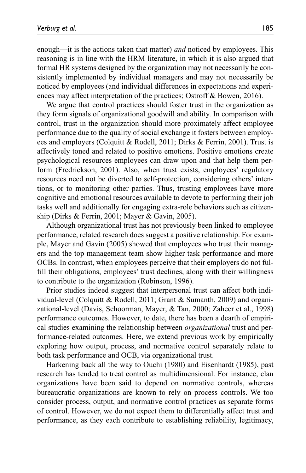enough—it is the actions taken that matter) *and* noticed by employees. This reasoning is in line with the HRM literature, in which it is also argued that formal HR systems designed by the organization may not necessarily be consistently implemented by individual managers and may not necessarily be noticed by employees (and individual differences in expectations and experiences may affect interpretation of the practices; Ostroff & Bowen, 2016).

We argue that control practices should foster trust in the organization as they form signals of organizational goodwill and ability. In comparison with control, trust in the organization should more proximately affect employee performance due to the quality of social exchange it fosters between employees and employers (Colquitt & Rodell, 2011; Dirks & Ferrin, 2001). Trust is affectively toned and related to positive emotions. Positive emotions create psychological resources employees can draw upon and that help them perform (Fredrickson, 2001). Also, when trust exists, employees' regulatory resources need not be diverted to self-protection, considering others' intentions, or to monitoring other parties. Thus, trusting employees have more cognitive and emotional resources available to devote to performing their job tasks well and additionally for engaging extra-role behaviors such as citizenship (Dirks & Ferrin, 2001; Mayer & Gavin, 2005).

Although organizational trust has not previously been linked to employee performance, related research does suggest a positive relationship. For example, Mayer and Gavin (2005) showed that employees who trust their managers and the top management team show higher task performance and more OCBs. In contrast, when employees perceive that their employers do not fulfill their obligations, employees' trust declines, along with their willingness to contribute to the organization (Robinson, 1996).

Prior studies indeed suggest that interpersonal trust can affect both individual-level (Colquitt & Rodell, 2011; Grant & Sumanth, 2009) and organizational-level (Davis, Schoorman, Mayer, & Tan, 2000; Zaheer et al., 1998) performance outcomes. However, to date, there has been a dearth of empirical studies examining the relationship between *organizational* trust and performance-related outcomes. Here, we extend previous work by empirically exploring how output, process, and normative control separately relate to both task performance and OCB, via organizational trust.

Harkening back all the way to Ouchi (1980) and Eisenhardt (1985), past research has tended to treat control as multidimensional. For instance, clan organizations have been said to depend on normative controls, whereas bureaucratic organizations are known to rely on process controls. We too consider process, output, and normative control practices as separate forms of control. However, we do not expect them to differentially affect trust and performance, as they each contribute to establishing reliability, legitimacy,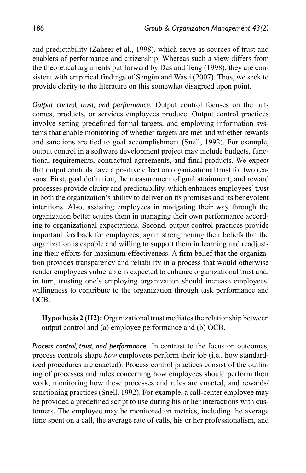and predictability (Zaheer et al., 1998), which serve as sources of trust and enablers of performance and citizenship. Whereas such a view differs from the theoretical arguments put forward by Das and Teng (1998), they are consistent with empirical findings of Şengün and Wasti (2007). Thus, we seek to provide clarity to the literature on this somewhat disagreed upon point.

*Output control, trust, and performance.* Output control focuses on the outcomes, products, or services employees produce. Output control practices involve setting predefined formal targets, and employing information systems that enable monitoring of whether targets are met and whether rewards and sanctions are tied to goal accomplishment (Snell, 1992). For example, output control in a software development project may include budgets, functional requirements, contractual agreements, and final products. We expect that output controls have a positive effect on organizational trust for two reasons. First, goal definition, the measurement of goal attainment, and reward processes provide clarity and predictability, which enhances employees' trust in both the organization's ability to deliver on its promises and its benevolent intentions. Also, assisting employees in navigating their way through the organization better equips them in managing their own performance according to organizational expectations. Second, output control practices provide important feedback for employees, again strengthening their beliefs that the organization is capable and willing to support them in learning and readjusting their efforts for maximum effectiveness. A firm belief that the organization provides transparency and reliability in a process that would otherwise render employees vulnerable is expected to enhance organizational trust and, in turn, trusting one's employing organization should increase employees' willingness to contribute to the organization through task performance and OCB.

**Hypothesis 2 (H2):** Organizational trust mediates the relationship between output control and (a) employee performance and (b) OCB.

*Process control, trust, and performance.* In contrast to the focus on outcomes, process controls shape *how* employees perform their job (i.e., how standardized procedures are enacted). Process control practices consist of the outlining of processes and rules concerning how employees should perform their work, monitoring how these processes and rules are enacted, and rewards/ sanctioning practices (Snell, 1992). For example, a call-center employee may be provided a predefined script to use during his or her interactions with customers. The employee may be monitored on metrics, including the average time spent on a call, the average rate of calls, his or her professionalism, and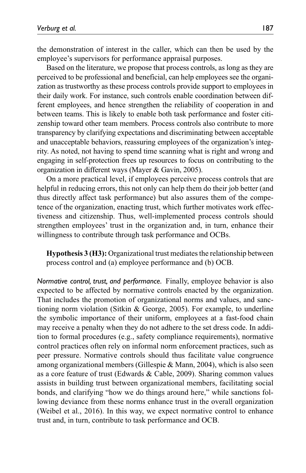the demonstration of interest in the caller, which can then be used by the employee's supervisors for performance appraisal purposes.

Based on the literature, we propose that process controls, as long as they are perceived to be professional and beneficial, can help employees see the organization as trustworthy as these process controls provide support to employees in their daily work. For instance, such controls enable coordination between different employees, and hence strengthen the reliability of cooperation in and between teams. This is likely to enable both task performance and foster citizenship toward other team members. Process controls also contribute to more transparency by clarifying expectations and discriminating between acceptable and unacceptable behaviors, reassuring employees of the organization's integrity. As noted, not having to spend time scanning what is right and wrong and engaging in self-protection frees up resources to focus on contributing to the organization in different ways (Mayer & Gavin, 2005).

On a more practical level, if employees perceive process controls that are helpful in reducing errors, this not only can help them do their job better (and thus directly affect task performance) but also assures them of the competence of the organization, enacting trust, which further motivates work effectiveness and citizenship. Thus, well-implemented process controls should strengthen employees' trust in the organization and, in turn, enhance their willingness to contribute through task performance and OCBs.

**Hypothesis 3 (H3):** Organizational trust mediates the relationship between process control and (a) employee performance and (b) OCB.

*Normative control, trust, and performance.* Finally, employee behavior is also expected to be affected by normative controls enacted by the organization. That includes the promotion of organizational norms and values, and sanctioning norm violation (Sitkin & George, 2005). For example, to underline the symbolic importance of their uniform, employees at a fast-food chain may receive a penalty when they do not adhere to the set dress code. In addition to formal procedures (e.g., safety compliance requirements), normative control practices often rely on informal norm enforcement practices, such as peer pressure. Normative controls should thus facilitate value congruence among organizational members (Gillespie & Mann, 2004), which is also seen as a core feature of trust (Edwards & Cable, 2009). Sharing common values assists in building trust between organizational members, facilitating social bonds, and clarifying "how we do things around here," while sanctions following deviance from these norms enhance trust in the overall organization (Weibel et al., 2016). In this way, we expect normative control to enhance trust and, in turn, contribute to task performance and OCB.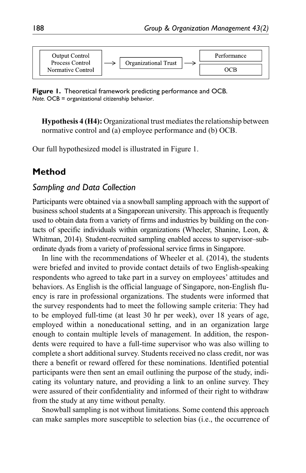

**Figure 1.** Theoretical framework predicting performance and OCB. *Note.* OCB = organizational citizenship behavior.

**Hypothesis 4 (H4):** Organizational trust mediates the relationship between normative control and (a) employee performance and (b) OCB.

Our full hypothesized model is illustrated in Figure 1.

## **Method**

## *Sampling and Data Collection*

Participants were obtained via a snowball sampling approach with the support of business school students at a Singaporean university. This approach is frequently used to obtain data from a variety of firms and industries by building on the contacts of specific individuals within organizations (Wheeler, Shanine, Leon, & Whitman, 2014). Student-recruited sampling enabled access to supervisor–subordinate dyads from a variety of professional service firms in Singapore.

In line with the recommendations of Wheeler et al. (2014), the students were briefed and invited to provide contact details of two English-speaking respondents who agreed to take part in a survey on employees' attitudes and behaviors. As English is the official language of Singapore, non-English fluency is rare in professional organizations. The students were informed that the survey respondents had to meet the following sample criteria: They had to be employed full-time (at least 30 hr per week), over 18 years of age, employed within a noneducational setting, and in an organization large enough to contain multiple levels of management. In addition, the respondents were required to have a full-time supervisor who was also willing to complete a short additional survey. Students received no class credit, nor was there a benefit or reward offered for these nominations. Identified potential participants were then sent an email outlining the purpose of the study, indicating its voluntary nature, and providing a link to an online survey. They were assured of their confidentiality and informed of their right to withdraw from the study at any time without penalty.

Snowball sampling is not without limitations. Some contend this approach can make samples more susceptible to selection bias (i.e., the occurrence of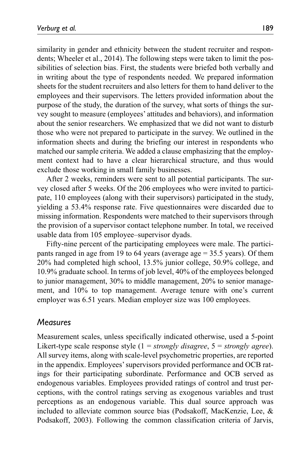similarity in gender and ethnicity between the student recruiter and respondents; Wheeler et al., 2014). The following steps were taken to limit the possibilities of selection bias. First, the students were briefed both verbally and in writing about the type of respondents needed. We prepared information sheets for the student recruiters and also letters for them to hand deliver to the employees and their supervisors. The letters provided information about the purpose of the study, the duration of the survey, what sorts of things the survey sought to measure (employees' attitudes and behaviors), and information about the senior researchers. We emphasized that we did not want to disturb those who were not prepared to participate in the survey. We outlined in the information sheets and during the briefing our interest in respondents who matched our sample criteria. We added a clause emphasizing that the employment context had to have a clear hierarchical structure, and thus would exclude those working in small family businesses.

After 2 weeks, reminders were sent to all potential participants. The survey closed after 5 weeks. Of the 206 employees who were invited to participate, 110 employees (along with their supervisors) participated in the study, yielding a 53.4% response rate. Five questionnaires were discarded due to missing information. Respondents were matched to their supervisors through the provision of a supervisor contact telephone number. In total, we received usable data from 105 employee–supervisor dyads.

Fifty-nine percent of the participating employees were male. The participants ranged in age from 19 to 64 years (average age = 35.5 years). Of them 20% had completed high school, 13.5% junior college, 50.9% college, and 10.9% graduate school. In terms of job level, 40% of the employees belonged to junior management, 30% to middle management, 20% to senior management, and 10% to top management. Average tenure with one's current employer was 6.51 years. Median employer size was 100 employees.

## *Measures*

Measurement scales, unless specifically indicated otherwise, used a 5-point Likert-type scale response style (1 = *strongly disagree*, 5 = *strongly agree*). All survey items, along with scale-level psychometric properties, are reported in the appendix. Employees' supervisors provided performance and OCB ratings for their participating subordinate. Performance and OCB served as endogenous variables. Employees provided ratings of control and trust perceptions, with the control ratings serving as exogenous variables and trust perceptions as an endogenous variable. This dual source approach was included to alleviate common source bias (Podsakoff, MacKenzie, Lee, & Podsakoff, 2003). Following the common classification criteria of Jarvis,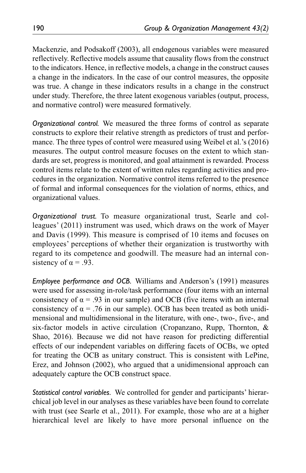Mackenzie, and Podsakoff (2003), all endogenous variables were measured reflectively. Reflective models assume that causality flows from the construct to the indicators. Hence, in reflective models, a change in the construct causes a change in the indicators. In the case of our control measures, the opposite was true. A change in these indicators results in a change in the construct under study. Therefore, the three latent exogenous variables (output, process, and normative control) were measured formatively.

*Organizational control.* We measured the three forms of control as separate constructs to explore their relative strength as predictors of trust and performance. The three types of control were measured using Weibel et al.'s (2016) measures. The output control measure focuses on the extent to which standards are set, progress is monitored, and goal attainment is rewarded. Process control items relate to the extent of written rules regarding activities and procedures in the organization. Normative control items referred to the presence of formal and informal consequences for the violation of norms, ethics, and organizational values.

*Organizational trust.* To measure organizational trust, Searle and colleagues' (2011) instrument was used, which draws on the work of Mayer and Davis (1999). This measure is comprised of 10 items and focuses on employees' perceptions of whether their organization is trustworthy with regard to its competence and goodwill. The measure had an internal consistency of  $\alpha$  = .93.

*Employee performance and OCB.* Williams and Anderson's (1991) measures were used for assessing in-role/task performance (four items with an internal consistency of  $\alpha = .93$  in our sample) and OCB (five items with an internal consistency of  $\alpha$  = .76 in our sample). OCB has been treated as both unidimensional and multidimensional in the literature, with one-, two-, five-, and six-factor models in active circulation (Cropanzano, Rupp, Thornton, & Shao, 2016). Because we did not have reason for predicting differential effects of our independent variables on differing facets of OCBs, we opted for treating the OCB as unitary construct. This is consistent with LePine, Erez, and Johnson (2002), who argued that a unidimensional approach can adequately capture the OCB construct space.

*Statistical control variables.* We controlled for gender and participants' hierarchical job level in our analyses as these variables have been found to correlate with trust (see Searle et al., 2011). For example, those who are at a higher hierarchical level are likely to have more personal influence on the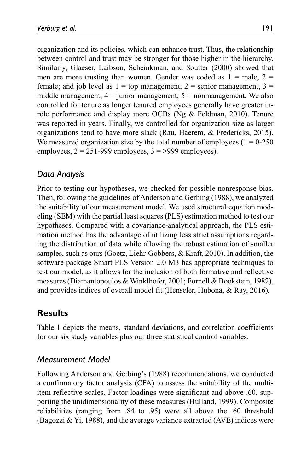organization and its policies, which can enhance trust. Thus, the relationship between control and trust may be stronger for those higher in the hierarchy. Similarly, Glaeser, Laibson, Scheinkman, and Soutter (2000) showed that men are more trusting than women. Gender was coded as  $1 =$  male,  $2 =$ female; and job level as  $1 = top$  management,  $2 = senior$  management,  $3 =$ middle management,  $4 =$  junior management,  $5 =$  nonmanagement. We also controlled for tenure as longer tenured employees generally have greater inrole performance and display more OCBs (Ng & Feldman, 2010). Tenure was reported in years. Finally, we controlled for organization size as larger organizations tend to have more slack (Rau, Haerem, & Fredericks, 2015). We measured organization size by the total number of employees  $(1 = 0.250$ employees,  $2 = 251-999$  employees,  $3 = >999$  employees).

# *Data Analysis*

Prior to testing our hypotheses, we checked for possible nonresponse bias. Then, following the guidelines of Anderson and Gerbing (1988), we analyzed the suitability of our measurement model. We used structural equation modeling (SEM) with the partial least squares (PLS) estimation method to test our hypotheses. Compared with a covariance-analytical approach, the PLS estimation method has the advantage of utilizing less strict assumptions regarding the distribution of data while allowing the robust estimation of smaller samples, such as ours (Goetz, Liehr-Gobbers, & Kraft, 2010). In addition, the software package Smart PLS Version 2.0 M3 has appropriate techniques to test our model, as it allows for the inclusion of both formative and reflective measures (Diamantopoulos & Winklhofer, 2001; Fornell & Bookstein, 1982), and provides indices of overall model fit (Henseler, Hubona, & Ray, 2016).

# **Results**

Table 1 depicts the means, standard deviations, and correlation coefficients for our six study variables plus our three statistical control variables.

# *Measurement Model*

Following Anderson and Gerbing's (1988) recommendations, we conducted a confirmatory factor analysis (CFA) to assess the suitability of the multiitem reflective scales. Factor loadings were significant and above .60, supporting the unidimensionality of these measures (Hulland, 1999). Composite reliabilities (ranging from .84 to .95) were all above the .60 threshold (Bagozzi  $\&$  Yi, 1988), and the average variance extracted (AVE) indices were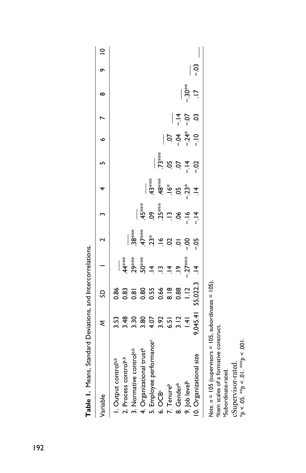| Table 1. Means, Standard Deviations, and Intercorrelations. |          |                                                                              |               |                                                                    |                                                                                                                                                                                                          |               |                                                                                   |                |               |                |     |             |
|-------------------------------------------------------------|----------|------------------------------------------------------------------------------|---------------|--------------------------------------------------------------------|----------------------------------------------------------------------------------------------------------------------------------------------------------------------------------------------------------|---------------|-----------------------------------------------------------------------------------|----------------|---------------|----------------|-----|-------------|
| Variable                                                    |          | S                                                                            |               |                                                                    |                                                                                                                                                                                                          |               | "<br>ש                                                                            |                |               |                |     | $\subseteq$ |
| I. Output controla.b                                        |          | 0.86                                                                         |               |                                                                    |                                                                                                                                                                                                          |               |                                                                                   |                |               |                |     |             |
| 2. Process controla.b                                       |          |                                                                              |               |                                                                    |                                                                                                                                                                                                          |               |                                                                                   |                |               |                |     |             |
| 3. Normative control <sup>a,b</sup>                         |          | 8<br>8<br>8<br>8<br>8<br>8<br>8<br>8<br>8<br>8<br>8<br>8<br>8<br>8<br>8<br>8 |               | ខ្លែង ដូ<br>  ខ្លែង ដូ ដូ ដូ ដូ ដូ ដូ ដូ<br>  ខ្លែង ដូ ដូ ដូ ដូ ដូ |                                                                                                                                                                                                          |               |                                                                                   |                |               |                |     |             |
| 4. Organizational trust <sup>b</sup>                        |          |                                                                              |               |                                                                    | $\frac{1}{4}$<br>$\frac{1}{4}$<br>$\frac{1}{4}$<br>$\frac{1}{4}$<br>$\frac{1}{4}$<br>$\frac{1}{4}$<br>$\frac{1}{4}$<br>$\frac{1}{4}$<br>$\frac{1}{4}$<br>$\frac{1}{4}$<br>$\frac{1}{4}$<br>$\frac{1}{4}$ |               |                                                                                   |                |               |                |     |             |
| 5. Employee performance <sup>c</sup>                        |          |                                                                              |               |                                                                    |                                                                                                                                                                                                          |               |                                                                                   |                |               |                |     |             |
| ბ<br>ა                                                      |          |                                                                              |               |                                                                    |                                                                                                                                                                                                          |               | $\frac{1}{3}$<br>$\frac{1}{3}$<br>$\frac{1}{3}$<br>$\frac{1}{3}$<br>$\frac{1}{3}$ |                |               |                |     |             |
| 7. Tenureb                                                  |          |                                                                              |               |                                                                    |                                                                                                                                                                                                          |               |                                                                                   |                |               |                |     |             |
| 8. Gender <sup>b</sup>                                      |          |                                                                              |               |                                                                    | $\frac{8}{1}$                                                                                                                                                                                            |               |                                                                                   | $-34$<br>$-24$ | $\frac{4}{1}$ |                |     |             |
| 9. Job level <sup>b</sup>                                   |          | $\frac{1}{2}$                                                                | $-27***$      | S.                                                                 | $-16$                                                                                                                                                                                                    |               |                                                                                   |                | $-0.7$        | $-30**$        |     |             |
| 10. Organizational size                                     | 1,045.41 | 55,022.3                                                                     | $\frac{4}{1}$ | $-0.5$                                                             | $-14$                                                                                                                                                                                                    | $\frac{4}{1}$ | $-02$                                                                             | $\frac{1}{2}$  | S             | $\overline{1}$ | 50- |             |
| $\frac{1}{2}$<br>$\frac{1}{2}$                              |          |                                                                              |               |                                                                    |                                                                                                                                                                                                          |               |                                                                                   |                |               |                |     |             |

| <br> <br> <br>:                                            |
|------------------------------------------------------------|
| ֖֧ׅ֧ׅׅׅׅ֧֪֧֚֚֚֚֚֚֚֚֚֚֚֚֚֚֚֚֚֚֚֚֚֚֚֚֚֚֚֚֚֚֡֝֜֓֡֡֓֡֡֓֡֞֡֡֓֞֝ |
|                                                            |
|                                                            |
| Ξ                                                          |
|                                                            |
|                                                            |

Note.  $n = 105$  (supervisors = 105, subordinates = 105).<br><sup>a</sup>ltem scales of a formative construct. *Note. n* = 105 (supervisors = 105, subordinates = 105). altem scales of a formative construct.

bSubordinate-rated.

cSupervisor-rated.

 $b$ Subordinate-rated.<br>  $c$ Supervisor-rated.<br>  $\ast_b$  < .05.  $\ast\ast_b$  < .01.  $\ast\ast_b$  < .001. \**p* < .05. \*\**p* < .01. \*\*\**p* < .001.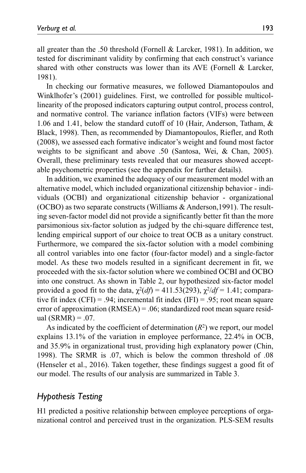all greater than the .50 threshold (Fornell & Larcker, 1981). In addition, we tested for discriminant validity by confirming that each construct's variance shared with other constructs was lower than its AVE (Fornell & Larcker, 1981).

In checking our formative measures, we followed Diamantopoulos and Winklhofer's (2001) guidelines. First, we controlled for possible multicollinearity of the proposed indicators capturing output control, process control, and normative control. The variance inflation factors (VIFs) were between 1.06 and 1.41, below the standard cutoff of 10 (Hair, Anderson, Tatham, & Black, 1998). Then, as recommended by Diamantopoulos, Riefler, and Roth (2008), we assessed each formative indicator's weight and found most factor weights to be significant and above .50 (Santosa, Wei, & Chan, 2005). Overall, these preliminary tests revealed that our measures showed acceptable psychometric properties (see the appendix for further details).

In addition, we examined the adequacy of our measurement model with an alternative model, which included organizational citizenship behavior - individuals (OCBI) and organizational citizenship behavior - organizational (OCBO) as two separate constructs (Williams  $\&$  Anderson, 1991). The resulting seven-factor model did not provide a significantly better fit than the more parsimonious six-factor solution as judged by the chi-square difference test, lending empirical support of our choice to treat OCB as a unitary construct. Furthermore, we compared the six-factor solution with a model combining all control variables into one factor (four-factor model) and a single-factor model. As these two models resulted in a significant decrement in fit, we proceeded with the six-factor solution where we combined OCBI and OCBO into one construct. As shown in Table 2, our hypothesized six-factor model provided a good fit to the data,  $\chi^2(df) = 411.53(293)$ ,  $\chi^2(df = 1.41$ ; comparative fit index  $(CFI) = .94$ ; incremental fit index  $(IFI) = .95$ ; root mean square error of approximation (RMSEA) = .06; standardized root mean square residual (SRMR) =  $.07$ .

As indicated by the coefficient of determination (*R*2) we report, our model explains 13.1% of the variation in employee performance, 22.4% in OCB, and 35.9% in organizational trust, providing high explanatory power (Chin, 1998). The SRMR is .07, which is below the common threshold of .08 (Henseler et al., 2016). Taken together, these findings suggest a good fit of our model. The results of our analysis are summarized in Table 3.

## *Hypothesis Testing*

H1 predicted a positive relationship between employee perceptions of organizational control and perceived trust in the organization. PLS-SEM results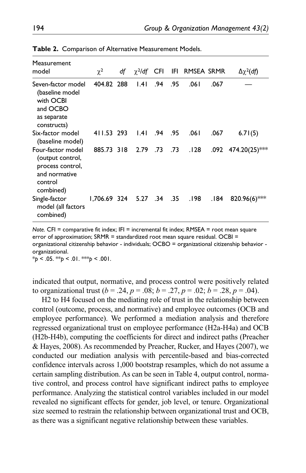| Measurement<br>model                                                                               | $\chi^2$                       | df |                 |     |     | $\chi^2$ /df CFI IFI RMSEA SRMR |       | $\Delta \chi^2$ (df) |
|----------------------------------------------------------------------------------------------------|--------------------------------|----|-----------------|-----|-----|---------------------------------|-------|----------------------|
| Seven-factor model<br>(baseline model<br>with OCBI<br>and OCBO                                     | 404.82 288                     |    | 1.41            | .94 | .95 | .061                            | .067  |                      |
| as separate<br>constructs)<br>Six-factor model<br>(baseline model)                                 | 411.53 293                     |    | $\vert A \vert$ | .94 | .95 | 06۱.                            | .067  | 6.71(5)              |
| Four-factor model<br>(output control,<br>process control,<br>and normative<br>control<br>combined) | 885.73 318 2.79 .73            |    |                 |     | .73 | .128                            |       | $.092$ 474.20(25)*** |
| Single-factor<br>model (all factors<br>combined)                                                   | 1,706.69 324 5.27 .34 .35 .198 |    |                 |     |     |                                 | 84. ا | $820.96(6)$ ***      |

**Table 2.** Comparison of Alternative Measurement Models.

*Note.* CFI = comparative fit index; IFI = incremental fit index; RMSEA = root mean square error of approximation; SRMR = standardized root mean square residual. OCBI = organizational citizenship behavior - individuals; OCBO = organizational citizenship behavior organizational.

\**p* < .05. \*\**p* < .01. \*\*\**p* < .001.

indicated that output, normative, and process control were positively related to organizational trust ( $b = .24$ ,  $p = .08$ ;  $b = .27$ ,  $p = .02$ ;  $b = .28$ ,  $p = .04$ ).

H2 to H4 focused on the mediating role of trust in the relationship between control (outcome, process, and normative) and employee outcomes (OCB and employee performance). We performed a mediation analysis and therefore regressed organizational trust on employee performance (H2a-H4a) and OCB (H2b-H4b), computing the coefficients for direct and indirect paths (Preacher & Hayes, 2008). As recommended by Preacher, Rucker, and Hayes (2007), we conducted our mediation analysis with percentile-based and bias-corrected confidence intervals across 1,000 bootstrap resamples, which do not assume a certain sampling distribution. As can be seen in Table 4, output control, normative control, and process control have significant indirect paths to employee performance. Analyzing the statistical control variables included in our model revealed no significant effects for gender, job level, or tenure. Organizational size seemed to restrain the relationship between organizational trust and OCB, as there was a significant negative relationship between these variables.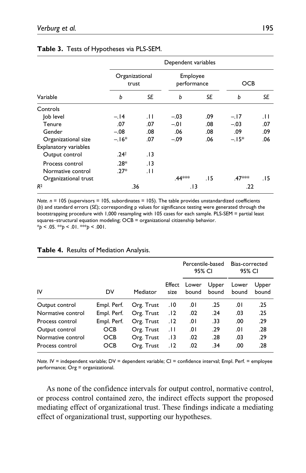|                              |                         | Dependent variables |                         |           |            |      |  |  |  |  |
|------------------------------|-------------------------|---------------------|-------------------------|-----------|------------|------|--|--|--|--|
|                              | Organizational<br>trust |                     | Employee<br>performance |           | <b>OCB</b> |      |  |  |  |  |
| Variable                     | b                       | SE                  | b                       | <b>SE</b> | b          | SE   |  |  |  |  |
| Controls                     |                         |                     |                         |           |            |      |  |  |  |  |
| Job level                    | $-.14$                  | .H                  | $-.03$                  | .09       | $-.17$     | .11  |  |  |  |  |
| Tenure                       | .07                     | .07                 | $-01$                   | .08       | $-.03$     | .07  |  |  |  |  |
| Gender                       | $-.08$                  | .08                 | .06                     | .08       | .09        | .09  |  |  |  |  |
| Organizational size          | $-.16*$                 | .07                 | $-.09$                  | .06       | $-.15*$    | .06  |  |  |  |  |
| <b>Explanatory variables</b> |                         |                     |                         |           |            |      |  |  |  |  |
| Output control               | .24 <sup>†</sup>        | . 13                |                         |           |            |      |  |  |  |  |
| Process control              | $.28*$                  | .13                 |                         |           |            |      |  |  |  |  |
| Normative control            | $.27*$                  | .H                  |                         |           |            |      |  |  |  |  |
| Organizational trust         |                         |                     | .44***                  | .15       | .47***     | . 15 |  |  |  |  |
| R <sup>2</sup>               | .36                     |                     | . 13                    |           | .22        |      |  |  |  |  |

#### **Table 3.** Tests of Hypotheses via PLS-SEM.

*Note. n* = 105 (supervisors = 105, subordinates = 105). The table provides unstandardized coefficients (*b*) and standard errors (*SE*); corresponding p values for significance testing were generated through the bootstrapping procedure with 1,000 resampling with 105 cases for each sample. PLS-SEM = partial least squares–structural equation modeling; OCB = organizational citizenship behavior. \**p* < .05. \*\**p* < .01. \*\*\**p* < .001.

|                                                                                               |                                                                       |                                                                    |                                 | Percentile-based<br>95% CI      |                                 | Bias-corrected<br>95% CI        |                                 |
|-----------------------------------------------------------------------------------------------|-----------------------------------------------------------------------|--------------------------------------------------------------------|---------------------------------|---------------------------------|---------------------------------|---------------------------------|---------------------------------|
| IV                                                                                            | DV                                                                    | Mediator                                                           | Effect<br>size                  | Lower<br>bound                  | Upper<br>bound                  | Lower<br>bound                  | Upper<br>bound                  |
| Output control<br>Normative control<br>Process control<br>Output control<br>Normative control | Empl. Perf.<br>Empl. Perf.<br>Empl. Perf.<br><b>OCB</b><br><b>OCB</b> | Org. Trust<br>Org. Trust<br>Org. Trust<br>Org. Trust<br>Org. Trust | ١٥.<br>.12<br>.12<br>.H<br>. 13 | .0۱<br>.02<br>.01<br>.01<br>.02 | .25<br>.24<br>.33<br>.29<br>.28 | 0١.<br>.03<br>.00<br>.01<br>.03 | .25<br>.25<br>.29<br>.28<br>.29 |
| Process control                                                                               | <b>OCB</b>                                                            | Org. Trust                                                         | .12                             | .02                             | .34                             | .00                             | .28                             |

#### **Table 4.** Results of Mediation Analysis.

*Note.* IV = independent variable; DV = dependent variable; CI = confidence interval; Empl. Perf. = employee performance; Org = organizational.

As none of the confidence intervals for output control, normative control, or process control contained zero, the indirect effects support the proposed mediating effect of organizational trust. These findings indicate a mediating effect of organizational trust, supporting our hypotheses.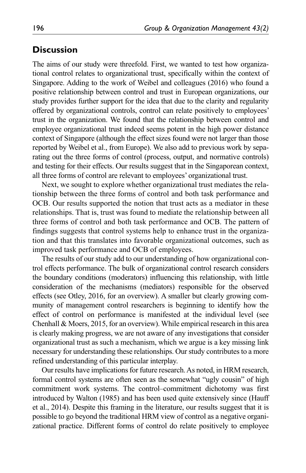# **Discussion**

The aims of our study were threefold. First, we wanted to test how organizational control relates to organizational trust, specifically within the context of Singapore. Adding to the work of Weibel and colleagues (2016) who found a positive relationship between control and trust in European organizations, our study provides further support for the idea that due to the clarity and regularity offered by organizational controls, control can relate positively to employees' trust in the organization. We found that the relationship between control and employee organizational trust indeed seems potent in the high power distance context of Singapore (although the effect sizes found were not larger than those reported by Weibel et al., from Europe). We also add to previous work by separating out the three forms of control (process, output, and normative controls) and testing for their effects. Our results suggest that in the Singaporean context, all three forms of control are relevant to employees' organizational trust.

Next, we sought to explore whether organizational trust mediates the relationship between the three forms of control and both task performance and OCB. Our results supported the notion that trust acts as a mediator in these relationships. That is, trust was found to mediate the relationship between all three forms of control and both task performance and OCB. The pattern of findings suggests that control systems help to enhance trust in the organization and that this translates into favorable organizational outcomes, such as improved task performance and OCB of employees.

The results of our study add to our understanding of how organizational control effects performance. The bulk of organizational control research considers the boundary conditions (moderators) influencing this relationship, with little consideration of the mechanisms (mediators) responsible for the observed effects (see Otley, 2016, for an overview). A smaller but clearly growing community of management control researchers is beginning to identify how the effect of control on performance is manifested at the individual level (see Chenhall & Moers, 2015, for an overview). While empirical research in this area is clearly making progress, we are not aware of any investigations that consider organizational trust as such a mechanism, which we argue is a key missing link necessary for understanding these relationships. Our study contributes to a more refined understanding of this particular interplay.

Our results have implications for future research. As noted, in HRM research, formal control systems are often seen as the somewhat "ugly cousin" of high commitment work systems. The control–commitment dichotomy was first introduced by Walton (1985) and has been used quite extensively since (Hauff et al., 2014). Despite this framing in the literature, our results suggest that it is possible to go beyond the traditional HRM view of control as a negative organizational practice. Different forms of control do relate positively to employee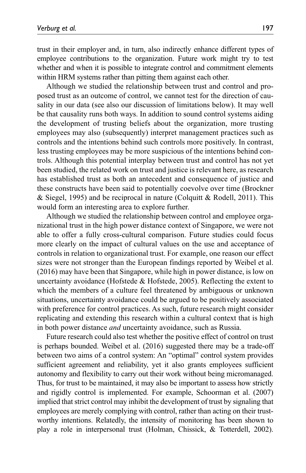trust in their employer and, in turn, also indirectly enhance different types of employee contributions to the organization. Future work might try to test whether and when it is possible to integrate control and commitment elements within HRM systems rather than pitting them against each other.

Although we studied the relationship between trust and control and proposed trust as an outcome of control, we cannot test for the direction of causality in our data (see also our discussion of limitations below). It may well be that causality runs both ways. In addition to sound control systems aiding the development of trusting beliefs about the organization, more trusting employees may also (subsequently) interpret management practices such as controls and the intentions behind such controls more positively. In contrast, less trusting employees may be more suspicious of the intentions behind controls. Although this potential interplay between trust and control has not yet been studied, the related work on trust and justice is relevant here, as research has established trust as both an antecedent and consequence of justice and these constructs have been said to potentially coevolve over time (Brockner & Siegel, 1995) and be reciprocal in nature (Colquitt & Rodell, 2011). This would form an interesting area to explore further.

Although we studied the relationship between control and employee organizational trust in the high power distance context of Singapore, we were not able to offer a fully cross-cultural comparison. Future studies could focus more clearly on the impact of cultural values on the use and acceptance of controls in relation to organizational trust. For example, one reason our effect sizes were not stronger than the European findings reported by Weibel et al. (2016) may have been that Singapore, while high in power distance, is low on uncertainty avoidance (Hofstede  $\&$  Hofstede, 2005). Reflecting the extent to which the members of a culture feel threatened by ambiguous or unknown situations, uncertainty avoidance could be argued to be positively associated with preference for control practices. As such, future research might consider replicating and extending this research within a cultural context that is high in both power distance *and* uncertainty avoidance, such as Russia.

Future research could also test whether the positive effect of control on trust is perhaps bounded. Weibel et al. (2016) suggested there may be a trade-off between two aims of a control system: An "optimal" control system provides sufficient agreement and reliability, yet it also grants employees sufficient autonomy and flexibility to carry out their work without being micromanaged. Thus, for trust to be maintained, it may also be important to assess how strictly and rigidly control is implemented. For example, Schoorman et al. (2007) implied that strict control may inhibit the development of trust by signaling that employees are merely complying with control, rather than acting on their trustworthy intentions. Relatedly, the intensity of monitoring has been shown to play a role in interpersonal trust (Holman, Chissick, & Totterdell, 2002).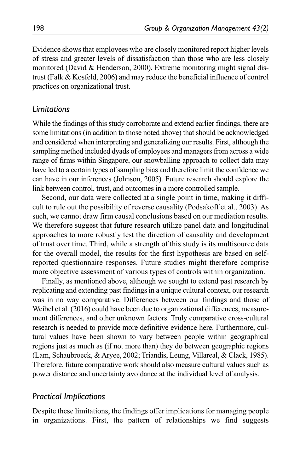Evidence shows that employees who are closely monitored report higher levels of stress and greater levels of dissatisfaction than those who are less closely monitored (David & Henderson, 2000). Extreme monitoring might signal distrust (Falk & Kosfeld, 2006) and may reduce the beneficial influence of control practices on organizational trust.

### *Limitations*

While the findings of this study corroborate and extend earlier findings, there are some limitations (in addition to those noted above) that should be acknowledged and considered when interpreting and generalizing our results. First, although the sampling method included dyads of employees and managers from across a wide range of firms within Singapore, our snowballing approach to collect data may have led to a certain types of sampling bias and therefore limit the confidence we can have in our inferences (Johnson, 2005). Future research should explore the link between control, trust, and outcomes in a more controlled sample.

Second, our data were collected at a single point in time, making it difficult to rule out the possibility of reverse causality (Podsakoff et al., 2003). As such, we cannot draw firm causal conclusions based on our mediation results. We therefore suggest that future research utilize panel data and longitudinal approaches to more robustly test the direction of causality and development of trust over time. Third, while a strength of this study is its multisource data for the overall model, the results for the first hypothesis are based on selfreported questionnaire responses. Future studies might therefore comprise more objective assessment of various types of controls within organization.

Finally, as mentioned above, although we sought to extend past research by replicating and extending past findings in a unique cultural context, our research was in no way comparative. Differences between our findings and those of Weibel et al. (2016) could have been due to organizational differences, measurement differences, and other unknown factors. Truly comparative cross-cultural research is needed to provide more definitive evidence here. Furthermore, cultural values have been shown to vary between people within geographical regions just as much as (if not more than) they do between geographic regions (Lam, Schaubroeck, & Aryee, 2002; Triandis, Leung, Villareal, & Clack, 1985). Therefore, future comparative work should also measure cultural values such as power distance and uncertainty avoidance at the individual level of analysis.

## *Practical Implications*

Despite these limitations, the findings offer implications for managing people in organizations. First, the pattern of relationships we find suggests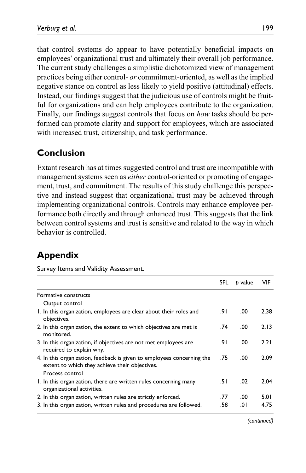that control systems do appear to have potentially beneficial impacts on employees' organizational trust and ultimately their overall job performance. The current study challenges a simplistic dichotomized view of management practices being either control- *or* commitment-oriented, as well as the implied negative stance on control as less likely to yield positive (attitudinal) effects. Instead, our findings suggest that the judicious use of controls might be fruitful for organizations and can help employees contribute to the organization. Finally, our findings suggest controls that focus on *how* tasks should be performed can promote clarity and support for employees, which are associated with increased trust, citizenship, and task performance.

# **Conclusion**

Extant research has at times suggested control and trust are incompatible with management systems seen as *either* control-oriented or promoting of engagement, trust, and commitment. The results of this study challenge this perspective and instead suggest that organizational trust may be achieved through implementing organizational controls. Controls may enhance employee performance both directly and through enhanced trust. This suggests that the link between control systems and trust is sensitive and related to the way in which behavior is controlled.

# **Appendix**

|  | Survey Items and Validity Assessment. |  |
|--|---------------------------------------|--|
|  |                                       |  |

|                                                                                                                          | SFL | b value | VIF  |
|--------------------------------------------------------------------------------------------------------------------------|-----|---------|------|
| Formative constructs                                                                                                     |     |         |      |
| Output control                                                                                                           |     |         |      |
| 1. In this organization, employees are clear about their roles and<br>objectives.                                        | .91 | .00     | 2.38 |
| 2. In this organization, the extent to which objectives are met is<br>monitored.                                         | .74 | .00     | 2.13 |
| 3. In this organization, if objectives are not met employees are<br>required to explain why.                             | 9۱. | .00     | 2.21 |
| 4. In this organization, feedback is given to employees concerning the<br>extent to which they achieve their objectives. | .75 | .00     | 2.09 |
| Process control                                                                                                          |     |         |      |
| 1. In this organization, there are written rules concerning many<br>organizational activities.                           | .51 | .02     | 2.04 |
| 2. In this organization, written rules are strictly enforced.                                                            | .77 | .00     | 5.01 |
| 3. In this organization, written rules and procedures are followed.                                                      | .58 | 0١.     | 4.75 |

*(continued)*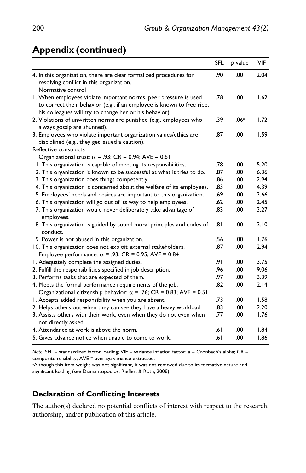# **Appendix (continued)**

|                                                                                                                                                                                                       | <b>SFL</b> | p value | <b>VIF</b> |
|-------------------------------------------------------------------------------------------------------------------------------------------------------------------------------------------------------|------------|---------|------------|
| 4. In this organization, there are clear formalized procedures for<br>resolving conflict in this organization.<br>Normative control                                                                   | .90        | .00     | 2.04       |
| I. When employees violate important norms, peer pressure is used<br>to correct their behavior (e.g., if an employee is known to free ride,<br>his colleagues will try to change her or his behavior). | .78        | .00     | 1.62       |
| 2. Violations of unwritten norms are punished (e.g., employees who<br>always gossip are shunned).                                                                                                     | .39        | .06a    | 1.72       |
| 3. Employees who violate important organization values/ethics are<br>disciplined (e.g., they get issued a caution).<br>Reflective constructs                                                          | .87        | .00     | 1.59       |
| Organizational trust: $\alpha$ = .93; CR = 0.94; AVE = 0.61                                                                                                                                           |            |         |            |
| I. This organization is capable of meeting its responsibilities.                                                                                                                                      | .78        | .00     | 5.20       |
| 2. This organization is known to be successful at what it tries to do.                                                                                                                                | .87        | .00     | 6.36       |
| 3. This organization does things competently.                                                                                                                                                         | .86        | .00     | 2.94       |
| 4. This organization is concerned about the welfare of its employees.                                                                                                                                 | .83        | .00     | 4.39       |
| 5. Employees' needs and desires are important to this organization.                                                                                                                                   | .69        | .00     | 3.66       |
| 6. This organization will go out of its way to help employees.                                                                                                                                        | .62        | .00     | 2.45       |
| 7. This organization would never deliberately take advantage of<br>employees.                                                                                                                         | .83        | .00     | 3.27       |
| 8. This organization is guided by sound moral principles and codes of<br>conduct.                                                                                                                     | .81        | .00     | 3.10       |
| 9. Power is not abused in this organization.                                                                                                                                                          | .56        | .00     | 1.76       |
| 10. This organization does not exploit external stakeholders.<br>Employee performance: $\alpha$ = .93; CR = 0.95; AVE = 0.84                                                                          | .87        | .00     | 2.94       |
| I. Adequately complete the assigned duties.                                                                                                                                                           | .9۱        | .00     | 3.75       |
| 2. Fulfill the responsibilities specified in job description.                                                                                                                                         | .96        | .00     | 9.06       |
| 3. Performs tasks that are expected of them.                                                                                                                                                          | .97        | .00     | 3.39       |
| 4. Meets the formal performance requirements of the job.<br>Organizational citizenship behavior: $\alpha$ = .76; CR = 0.83; AVE = 0.51                                                                | .82        | .00     | 2.14       |
| I. Accepts added responsibility when you are absent.                                                                                                                                                  | .73        | .00     | 1.58       |
| 2. Helps others out when they can see they have a heavy workload.                                                                                                                                     | .83        | .00     | 2.20       |
| 3. Assists others with their work, even when they do not even when<br>not directly asked.                                                                                                             | .77        | .00     | 1.76       |
| 4. Attendance at work is above the norm.                                                                                                                                                              | .6۱        | .00     | 1.84       |
| 5. Gives advance notice when unable to come to work.                                                                                                                                                  | .61        | .00     | 1.86       |

*Note.* SFL = standardized factor loading; VIF = variance inflation factor; a = Cronbach's alpha; CR = composite reliability; AVE = average variance extracted.

a Although this item weight was not significant, it was not removed due to its formative nature and significant loading (see Diamantopoulos, Riefler, & Roth, 2008).

## **Declaration of Conflicting Interests**

The author(s) declared no potential conflicts of interest with respect to the research, authorship, and/or publication of this article.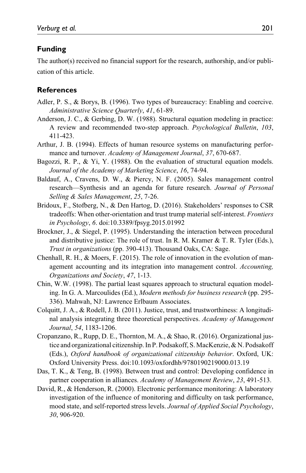### **Funding**

The author(s) received no financial support for the research, authorship, and/or publication of this article.

### **References**

- Adler, P. S., & Borys, B. (1996). Two types of bureaucracy: Enabling and coercive. *Administrative Science Quarterly*, *41*, 61-89.
- Anderson, J. C., & Gerbing, D. W. (1988). Structural equation modeling in practice: A review and recommended two-step approach. *Psychological Bulletin*, *103*, 411-423.
- Arthur, J. B. (1994). Effects of human resource systems on manufacturing performance and turnover. *Academy of Management Journal*, *37*, 670-687.
- Bagozzi, R. P., & Yi, Y. (1988). On the evaluation of structural equation models. *Journal of the Academy of Marketing Science*, *16*, 74-94.
- Baldauf, A., Cravens, D. W., & Piercy, N. F. (2005). Sales management control research—Synthesis and an agenda for future research. *Journal of Personal Selling & Sales Management*, *25*, 7-26.
- Bridoux, F., Stofberg, N., & Den Hartog, D. (2016). Stakeholders' responses to CSR tradeoffs: When other-orientation and trust trump material self-interest. *Frontiers in Psychology*, *6*. doi:10.3389/fpsyg.2015.01992
- Brockner, J., & Siegel, P. (1995). Understanding the interaction between procedural and distributive justice: The role of trust. In R. M. Kramer  $&$  T. R. Tyler (Eds.), *Trust in organizations* (pp. 390-413). Thousand Oaks, CA: Sage.
- Chenhall, R. H., & Moers, F. (2015). The role of innovation in the evolution of management accounting and its integration into management control. *Accounting, Organizations and Society*, *47*, 1-13.
- Chin, W.W. (1998). The partial least squares approach to structural equation modeling. In G. A. Marcoulides (Ed.), *Modern methods for business research* (pp. 295- 336). Mahwah, NJ: Lawrence Erlbaum Associates.
- Colquitt, J. A., & Rodell, J. B. (2011). Justice, trust, and trustworthiness: A longitudinal analysis integrating three theoretical perspectives. *Academy of Management Journal*, *54*, 1183-1206.
- Cropanzano, R., Rupp, D. E., Thornton, M. A., & Shao, R. (2016). Organizational justice and organizational citizenship. In P. Podsakoff, S. MacKenzie, & N. Podsakoff (Eds.), *Oxford handbook of organizational citizenship behavior*. Oxford, UK: Oxford University Press. doi:10.1093/oxfordhb/9780190219000.013.19
- Das, T. K., & Teng, B. (1998). Between trust and control: Developing confidence in partner cooperation in alliances. *Academy of Management Review*, *23*, 491-513.
- David, R., & Henderson, R. (2000). Electronic performance monitoring: A laboratory investigation of the influence of monitoring and difficulty on task performance, mood state, and self-reported stress levels. *Journal of Applied Social Psychology*, *30*, 906-920.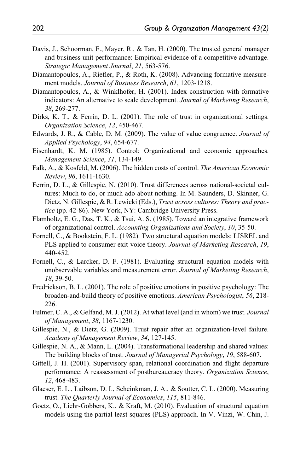- Davis, J., Schoorman, F., Mayer, R., & Tan, H. (2000). The trusted general manager and business unit performance: Empirical evidence of a competitive advantage. *Strategic Management Journal*, *21*, 563-576.
- Diamantopoulos, A., Riefler, P., & Roth, K. (2008). Advancing formative measurement models. *Journal of Business Research*, *61*, 1203-1218.
- Diamantopoulos, A., & Winklhofer, H. (2001). Index construction with formative indicators: An alternative to scale development. *Journal of Marketing Research*, *38*, 269-277.
- Dirks, K. T., & Ferrin, D. L. (2001). The role of trust in organizational settings. *Organization Science*, *12*, 450-467.
- Edwards, J. R., & Cable, D. M. (2009). The value of value congruence. *Journal of Applied Psychology*, *94*, 654-677.
- Eisenhardt, K. M. (1985). Control: Organizational and economic approaches. *Management Science*, *31*, 134-149.
- Falk, A., & Kosfeld, M. (2006). The hidden costs of control. *The American Economic Review*, *96*, 1611-1630.
- Ferrin, D. L., & Gillespie, N. (2010). Trust differences across national-societal cultures: Much to do, or much ado about nothing. In M. Saunders, D. Skinner, G. Dietz, N. Gillespie, & R. Lewicki (Eds.), *Trust across cultures: Theory and practice* (pp. 42-86). New York, NY: Cambridge University Press.
- Flamholtz, E. G., Das, T. K., & Tsui, A. S. (1985). Toward an integrative framework of organizational control. *Accounting Organizations and Society*, *10*, 35-50.
- Fornell, C., & Bookstein, F. L. (1982). Two structural equation models: LISREL and PLS applied to consumer exit-voice theory. *Journal of Marketing Research*, *19*, 440-452.
- Fornell, C., & Larcker, D. F. (1981). Evaluating structural equation models with unobservable variables and measurement error. *Journal of Marketing Research*, *18*, 39-50.
- Fredrickson, B. L. (2001). The role of positive emotions in positive psychology: The broaden-and-build theory of positive emotions. *American Psychologist*, *56*, 218- 226.
- Fulmer, C. A., & Gelfand, M. J. (2012). At what level (and in whom) we trust. *Journal of Management*, *38*, 1167-1230.
- Gillespie, N., & Dietz, G. (2009). Trust repair after an organization-level failure. *Academy of Management Review*, *34*, 127-145.
- Gillespie, N. A., & Mann, L. (2004). Transformational leadership and shared values: The building blocks of trust. *Journal of Managerial Psychology*, *19*, 588-607.
- Gittell, J. H. (2001). Supervisory span, relational coordination and flight departure performance: A reassessment of postbureaucracy theory. *Organization Science*, *12*, 468-483.
- Glaeser, E. L., Laibson, D. I., Scheinkman, J. A., & Soutter, C. L. (2000). Measuring trust. *The Quarterly Journal of Economics*, *115*, 811-846.
- Goetz, O., Liehr-Gobbers, K., & Kraft, M. (2010). Evaluation of structural equation models using the partial least squares (PLS) approach. In V. Vinzi, W. Chin, J.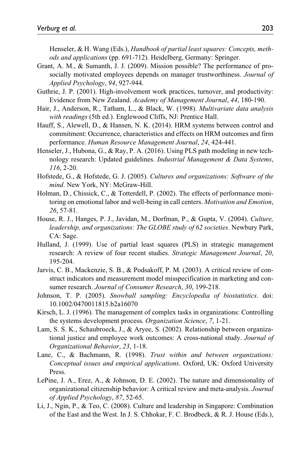Henseler, & H. Wang (Eds.), *Handbook of partial least squares: Concepts, methods and applications* (pp. 691-712). Heidelberg, Germany: Springer.

- Grant, A. M., & Sumanth, J. J. (2009). Mission possible? The performance of prosocially motivated employees depends on manager trustworthiness. *Journal of Applied Psychology*, *94*, 927-944.
- Guthrie, J. P. (2001). High-involvement work practices, turnover, and productivity: Evidence from New Zealand. *Academy of Management Journal*, *44*, 180-190.
- Hair, J., Anderson, R., Tatham, L., & Black, W. (1998). *Multivariate data analysis with readings* (5th ed.). Englewood Cliffs, NJ: Prentice Hall.
- Hauff, S., Alewell, D., & Hansen, N. K. (2014). HRM systems between control and commitment: Occurrence, characteristics and effects on HRM outcomes and firm performance. *Human Resource Management Journal*, *24*, 424-441.
- Henseler, J., Hubona, G., & Ray, P. A. (2016). Using PLS path modeling in new technology research: Updated guidelines. *Industrial Management & Data Systems*, *116*, 2-20.
- Hofstede, G., & Hofstede, G. J. (2005). *Cultures and organizations: Software of the mind*. New York, NY: McGraw-Hill.
- Holman, D., Chissick, C., & Totterdell, P. (2002). The effects of performance monitoring on emotional labor and well-being in call centers. *Motivation and Emotion*, *26*, 57-81.
- House, R. J., Hanges, P. J., Javidan, M., Dorfman, P., & Gupta, V. (2004). *Culture, leadership, and organizations: The GLOBE study of 62 societies*. Newbury Park, CA: Sage.
- Hulland, J. (1999). Use of partial least squares (PLS) in strategic management research: A review of four recent studies. *Strategic Management Journal*, *20*, 195-204.
- Jarvis, C. B., Mackenzie, S. B., & Podsakoff, P. M. (2003). A critical review of construct indicators and measurement model misspecification in marketing and consumer research. *Journal of Consumer Research*, *30*, 199-218.
- Johnson, T. P. (2005). *Snowball sampling: Encyclopedia of biostatistics*. doi: 10.1002/0470011815.b2a16070
- Kirsch, L. J. (1996). The management of complex tasks in organizations: Controlling the systems development process. *Organization Science*, *7*, 1-21.
- Lam, S. S. K., Schaubroeck, J., & Aryee, S. (2002). Relationship between organizational justice and employee work outcomes: A cross-national study. *Journal of Organizational Behavior*, *23*, 1-18.
- Lane, C., & Bachmann, R. (1998). *Trust within and between organizations: Conceptual issues and empirical applications*. Oxford, UK: Oxford University Press.
- LePine, J. A., Erez, A., & Johnson, D. E. (2002). The nature and dimensionality of organizational citizenship behavior: A critical review and meta-analysis. *Journal of Applied Psychology*, *87*, 52-65.
- Li, J., Ngin, P., & Teo, C. (2008). Culture and leadership in Singapore: Combination of the East and the West. In J. S. Chhokar, F. C. Brodbeck, & R. J. House (Eds.),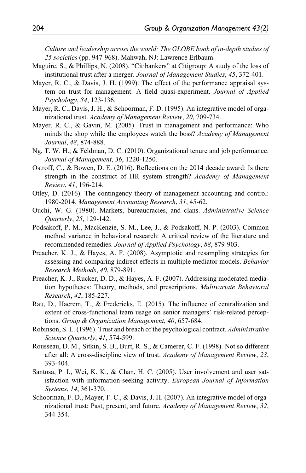*Culture and leadership across the world: The GLOBE book of in-depth studies of 25 societies* (pp. 947-968). Mahwah, NJ: Lawrence Erlbaum.

- Maguire, S., & Phillips, N. (2008). "Citibankers" at Citigroup: A study of the loss of institutional trust after a merger. *Journal of Management Studies*, *45*, 372-401.
- Mayer, R. C., & Davis, J. H. (1999). The effect of the performance appraisal system on trust for management: A field quasi-experiment. *Journal of Applied Psychology*, *84*, 123-136.
- Mayer, R. C., Davis, J. H., & Schoorman, F. D. (1995). An integrative model of organizational trust. *Academy of Management Review*, *20*, 709-734.
- Mayer, R. C., & Gavin, M. (2005). Trust in management and performance: Who minds the shop while the employees watch the boss? *Academy of Management Journal*, *48*, 874-888.
- Ng, T. W. H., & Feldman, D. C. (2010). Organizational tenure and job performance. *Journal of Management*, *36*, 1220-1250.
- Ostroff, C., & Bowen, D. E. (2016). Reflections on the 2014 decade award: Is there strength in the construct of HR system strength? *Academy of Management Review*, *41*, 196-214.
- Otley, D. (2016). The contingency theory of management accounting and control: 1980-2014. *Management Accounting Research*, *31*, 45-62.
- Ouchi, W. G. (1980). Markets, bureaucracies, and clans. *Administrative Science Quarterly*, *25*, 129-142.
- Podsakoff, P. M., MacKenzie, S. M., Lee, J., & Podsakoff, N. P. (2003). Common method variance in behavioral research: A critical review of the literature and recommended remedies. *Journal of Applied Psychology*, *88*, 879-903.
- Preacher, K. J., & Hayes, A. F. (2008). Asymptotic and resampling strategies for assessing and comparing indirect effects in multiple mediator models. *Behavior Research Methods*, *40*, 879-891.
- Preacher, K. J., Rucker, D. D., & Hayes, A. F. (2007). Addressing moderated mediation hypotheses: Theory, methods, and prescriptions. *Multivariate Behavioral Research*, *42*, 185-227.
- Rau, D., Haerem, T., & Fredericks, E. (2015). The influence of centralization and extent of cross-functional team usage on senior managers' risk-related perceptions. *Group & Organization Management*, *40*, 657-684.
- Robinson, S. L. (1996). Trust and breach of the psychological contract. *Administrative Science Quarterly*, *41*, 574-599.
- Rousseau, D. M., Sitkin, S. B., Burt, R. S., & Camerer, C. F. (1998). Not so different after all: A cross-discipline view of trust. *Academy of Management Review*, *23*, 393-404.
- Santosa, P. I., Wei, K. K., & Chan, H. C. (2005). User involvement and user satisfaction with information-seeking activity. *European Journal of Information Systems*, *14*, 361-370.
- Schoorman, F. D., Mayer, F. C., & Davis, J. H. (2007). An integrative model of organizational trust: Past, present, and future. *Academy of Management Review*, *32*, 344-354.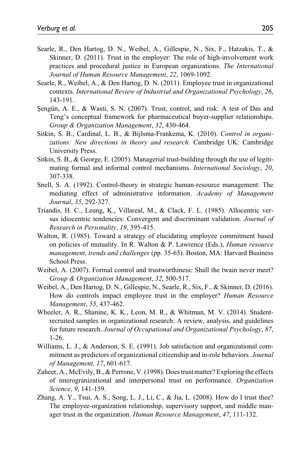- Searle, R., Den Hartog, D. N., Weibel, A., Gillespie, N., Six, F., Hatzakis, T., & Skinner, D. (2011). Trust in the employer: The role of high-involvement work practices and procedural justice in European organizations. *The International Journal of Human Resource Management*, *22*, 1069-1092.
- Searle, R., Weibel, A., & Den Hartog, D. N. (2011). Employee trust in organizational contexts. *International Review of Industrial and Organizational Psychology*, *26*, 143-191.
- Şengün, A. E., & Wasti, S. N. (2007). Trust, control, and risk: A test of Das and Teng's conceptual framework for pharmaceutical buyer-supplier relationships. *Group & Organization Management*, *32*, 430-464.
- Sitkin, S. B., Cardinal, L. B., & Bijlsma-Frankema, K. (2010). *Control in organizations: New directions in theory and research*. Cambridge UK: Cambridge University Press.
- Sitkin, S. B., & George, E. (2005). Managerial trust-building through the use of legitimating formal and informal control mechanisms. *International Sociology*, *20*, 307-338.
- Snell, S. A. (1992). Control-theory in strategic human-resource management: The mediating effect of administrative information. *Academy of Management Journal*, *35*, 292-327.
- Triandis, H. C., Leung, K., Villareal, M., & Clack, F. L. (1985). Allocentric versus idiocentric tendencies: Convergent and discriminant validation. *Journal of Research in Personality*, *19*, 395-415.
- Walton, R. (1985). Toward a strategy of elucidating employee commitment based on policies of mutuality. In R. Walton & P. Lawrence (Eds.), *Human resource management, trends and challenges* (pp. 35-65). Boston, MA: Harvard Business School Press.
- Weibel, A. (2007). Formal control and trustworthiness: Shall the twain never meet? *Group & Organization Management*, *32*, 500-517.
- Weibel, A., Den Hartog, D. N., Gillespie, N., Searle, R., Six, F., & Skinner, D. (2016). How do controls impact employee trust in the employer? *Human Resource Management*, *55*, 437-462.
- Wheeler, A. R., Shanine, K. K., Leon, M. R., & Whitman, M. V. (2014). Studentrecruited samples in organizational research: A review, analysis, and guidelines for future research. *Journal of Occupational and Organizational Psychology*, *87*, 1-26.
- Williams, L. J., & Anderson, S. E. (1991). Job satisfaction and organizational commitment as predictors of organizational citizenship and in-role behaviors. *Journal of Management*, *17*, 601-617.
- Zaheer, A., McEvily, B., & Perrone, V. (1998). Does trust matter? Exploring the effects of interogranizational and interpersonal trust on performance. *Organization Science*, *9*, 141-159.
- Zhang, A. Y., Tsui, A. S., Song, L. J., Li, C., & Jia, L. (2008). How do I trust thee? The employee-organization relationship, supervisory support, and middle manager trust in the organization. *Human Resource Management*, *47*, 111-132.